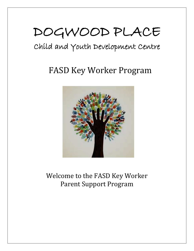# DOGWOOD PLACE

# Child and Youth Development Centre

# FASD Key Worker Program



### Welcome to the FASD Key Worker Parent Support Program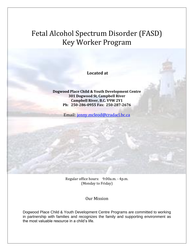## Fetal Alcohol Spectrum Disorder (FASD) Key Worker Program

**Located at**

#### **Dogwood Place Child & Youth Development Centre 301 Dogwood St, Campbell River Campbell River, B.C. V9W 2Y1 Ph: 250-286-0955 Fax: 250-287-2676**

Email: [jenny.mcleod@cradacl.bc.ca](mailto:jenny.mcleod@cradacl.bc.ca)

Regular office hours: 9:00a.m. - 4p.m. (Monday to Friday)

Our Mission

Dogwood Place Child & Youth Development Centre Programs are committed to working in partnership with families and recognizes the family and supporting environment as the most valuable resource in a child's life.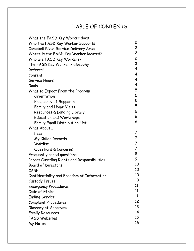### TABLE OF CONTENTS

| What the FASD Key Worker does               | 1              |
|---------------------------------------------|----------------|
| Who the FASD Key Worker Supports            | $\overline{c}$ |
| Campbell River Service Delivery Area        | $\overline{c}$ |
| Where is the FASD Key Worker located?       | $\overline{c}$ |
| Who are FASD Key Workers?                   | $\overline{c}$ |
| The FASD Key Worker Philosophy              | 3              |
| Referral                                    | 4              |
| Consent                                     | 4              |
| Service Hours                               | 4              |
| Goals                                       | 4              |
| What to Expect From the Program             | 5              |
| Orientation                                 | 5              |
| Frequency of Supports                       | 5              |
| <b>Family and Home Visits</b>               | 5              |
| Resources & Lending Library                 | 6              |
| <b>Education and Workshops</b>              | 6              |
| <b>Family Email Distribution List</b>       | 6              |
| What About                                  |                |
| Fees                                        | 7              |
| My Childs Records                           | $\overline{7}$ |
| Waitlist                                    | $\overline{7}$ |
| Questions & Concerns                        | $\overline{7}$ |
| Frequently asked questions                  | 8              |
| Parent Guarding Rights and Responsibilities | 9              |
| <b>Board of Directors</b>                   | 10             |
| CARF                                        | 10             |
| Confidentiality and Freedom of Information  | 10             |
| Custody Issues                              | 10             |
| <b>Emergency Procedures</b>                 | 11             |
| Code of Ethics                              | 11             |
| <b>Ending Service</b>                       | 11             |
| <b>Complaint Procedures</b>                 | 12             |
| Glossary of Acronyms                        | 13             |
| <b>Family Resources</b>                     | 14             |
| <b>FASD Websites</b>                        | 15             |
| My Notes                                    | 16             |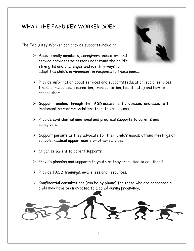### WHAT THE FASD KFY WORKER DOES

The FASD Key Worker can provide supports including:

 $\triangleright$  Assist family members, caregivers, educators and service providers to better understand the child's strengths and challenges and identify ways to adapt the child's environment in response to these needs.



- $\triangleright$  Provide information about services and supports (education, social services, financial resources, recreation, transportation, health, etc.) and how to access them.
- $\triangleright$  Support families through the FASD assessment processes, and assist with implementing recommendations from the assessment.
- $\triangleright$  Provide confidential emotional and practical supports to parents and caregivers.
- $\triangleright$  Support parents as they advocate for their child's needs; attend meetings at schools, medical appointments or other services.
- $\triangleright$  Organize parent to parent supports.
- $\triangleright$  Provide planning and supports to youth as they transition to adulthood.
- $\triangleright$  Provide FASD trainings, awareness and resources.
- $\triangleright$  Confidential consultations (can be by phone) for those who are concerned a child may have been exposed to alcohol during pregnancy.

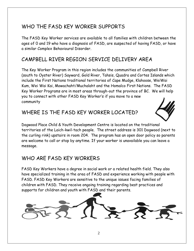### WHO THE FASD KEY WORKER SUPPORTS

The FASD Key Worker services are available to all families with children between the ages of 0 and 19 who have a diagnosis of FASD, are suspected of having FASD, or have a similar Complex Behavioural Disorder.

### CAMPBELL RIVER REGION SERVICE DELIVERY AREA

The Key Worker Program in this region includes the communities of Campbell River (south to Oyster River) Sayward, Gold River, Tahsis, Quadra and Cortes Islands which include the First Nations traditional territories of Cape Mudge, Klahoose, WeiWai Kum, Wei Wai Kai, Mowachaht/Muchalaht and the Homalco First Nations. The FASD Key Worker Programs are in most areas through-out the province of BC. We will help you to connect with other FASD Key Worker's if you move to a new community

### WHERE IS THE FASD KEY WORKER LOCATED?



Dogwood Place Child & Youth Development Centre is located on the traditional territories of the Laich-kwil-tach people. The street address is 301 Dogwood (next to the curling rink) upstairs in room 204. The program has an open door policy so parents are welcome to call or stop by anytime. If your worker is unavailable you can leave a message.

### WHO ARF FASD KFY WORKFRS

FASD Key Workers have a degree in social work or a related health field. They also have specialized training in the area of FASD and experience working with people with FASD. FASD Key Workers are sensitive to the unique issues facing families of children with FASD. They receive ongoing training regarding best practices and supports for children and youth with FASD and their parents.

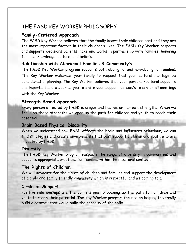#### THE FASD KEY WORKER PHILOSOPHY

#### **Family-Centered Approach**

The FASD Key Worker believes that the family knows their children best and they are the most important factors in their children's lives. The FASD Key Worker respects and supports decisions parents make and works in partnership with families, honoring families' knowledge, culture, and beliefs.

#### **Relationship with Aboriginal Families & Community's**

The FASD Key Worker program supports both aboriginal and non-aboriginal families. The Key Worker welcomes your family to request that your cultural heritage be considered in planning. The Key Worker believes that your personal/cultural supports are important and welcomes you to invite your support person/s to any or all meetings with the Key Worker.

#### **Strength Based Approach**

Every person affected by FASD is unique and has his or her own strengths. When we focus on these strengths we open up the path for children and youth to reach their potential.

#### **Brain Based Physical Disability**

When we understand how FASD affects the brain and influences behaviour, we can find strategies and create environments that best support children and youth who are impacted by FASD.

#### **Diversity**

The FASD Key Worker program respects the range of diversity in communities and supports appropriate practices for families within their cultural context.

#### **The Rights of Children**

We will advocate for the rights of children and families and support the development of a child and family friendly community which is respectful and welcoming to all.

#### **Circle of Support**

Positive relationships are the cornerstone to opening up the path for children and youth to reach their potential. The Key Worker program focuses on helping the family build a network that would build the capacity of the child.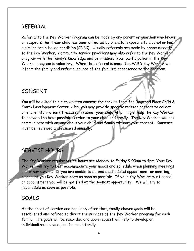#### REFERRAL

Referral to the Key Worker Program can be made by any parent or guardian who knows or suspects that their child has been affected by prenatal exposure to alcohol or has a similar brain-based condition (CDBC). Usually referrals are made by phone directly to the Key Worker. Community service providers may also refer to the Key Worker program with the family's knowledge and permission. Your participation in the Key Worker program is voluntary. When the referral is made the FASD Key Worker will inform the family and referral source of the families' acceptance to the program.

### CONSENT

You will be asked to a sign written consent for service form for Dogwood Place Child & Youth Development Centre. Also, you may provide specific written consent to collect or share information (if necessary) about your child which might help the Key Worker to provide the best possible service to your child and family. The Key Worker will not communicate with anyone about your child and family without your consent. Consents must be reviewed and renewed annually.

### SERVICE HOURS

The Key Worker regular office hours are Monday to Friday 9:00am to 4pm. Your Key Worker will try to best accommodate your needs and schedule when planning meetings and other service. If you are unable to attend a scheduled appointment or meeting, please let you Key Worker know as soon as possible. If your Key Worker must cancel an appointment you will be notified at the soonest opportunity. We will try to reschedule as soon as possible.

#### GOALS

At the onset of service and regularly after that, family chosen goals will be established and refined to direct the services of the Key Worker program for each family. The goals will be recorded and upon request will help to develop an individualized service plan for each family.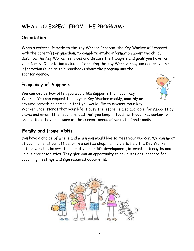### WHAT TO EXPECT FROM THE PROGRAM?

#### **Orientation**

When a referral is made to the Key Worker Program, the Key Worker will connect with the parent(s) or guardian, to complete intake information about the child, describe the Key Worker services and discuss the thoughts and goals you have for your family. Orientation includes describing the Key Worker Program and providing information (such as this handbook) about the program and the sponsor agency.

#### **Frequency of Supports**



You can decide how often you would like supports from your Key Worker. You can request to see your Key Worker weekly, monthly or anytime something comes up that you would like to discuss. Your Key Worker understands that your life is busy therefore, is also available for supports by phone and email. It is recommended that you keep in touch with your keyworker to ensure that they are aware of the current needs of your child and family.

#### **Family and Home Visits**

You have a choice of where and when you would like to meet your worker. We can meet at your home, at our office, or in a coffee shop. Family visits help the Key Worker gather valuable information about your child's development, interests, strengths and unique characteristics. They give you an opportunity to ask questions, prepare for upcoming meetings and sign required documents.

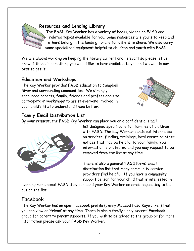

#### **Resources and Lending Library**

The FASD Key Worker has a variety of books, videos on FASD and related topics available for you. Some resources are yours to keep and others belong in the lending library for others to share. We also carry some specialized equipment helpful to children and youth with FASD.

We are always working on keeping the library current and relevant so please let us know if there is something you would like to have available to you and we will do our best to get it.

#### **Education and Workshops**

The Key Worker provides FASD education to Campbell River and surrounding communities. We strongly encourage parents, family, friends and professionals to participate in workshops to assist everyone involved in your child's life to understand them better.



#### **Family Email Distribution List**

By your request, the FASD Key Worker can place you on a confidential email



list designed specifically for families of children with FASD. The Key Worker sends out information on services, funding, trainings, local events or other notices that may be helpful to your family. Your information is protected and you may request to be removed from the list at any time.

There is also a general 'FASD News' email distribution list that many community service providers find helpful. If you have a community support person for your child that is interested in

learning more about FASD they can send your Key Worker an email requesting to be put on the list.

#### Facebook

The Key Worker has an open Facebook profile (Jenny McLeod Fasd Keyworker) that you can view or 'friend' at any time. There is also a family's only 'secret' Facebook group for parent to parent supports. If you wish to be added to the group or for more information please ask your FASD Key Worker.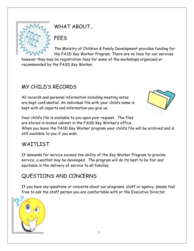

WHAT ABOUT…

### FEES

The Ministry of Children & Family Development provides funding for the FASD Key Worker Program. There are no fees for our services

however they may be registration fees for some of the workshops organized or recommended by the FASD Key Worker.

### MY CHILD'S RECORDS

All records and personal information including meeting notes are kept confidential. An individual file with your child's name is kept with all reports and information you give us.



Your child's file is available to you upon your request. The files are stored in locked cabinet in the FASD Key Worker's office. When you leave the FASD Key Worker program your child's file will be archived and is still available to you if you wish.

### WATTI IST

If demands for service exceed the ability of the Key Worker Program to provide service, a waitlist may be developed. The program will do its best to be fair and equitable in the delivery of service to all families.

### QUESTIONS AND CONCERNS

If you have any questions or concerns about our programs, staff or agency, please feel free to ask the staff person you are comfortable with or the Executive Director.

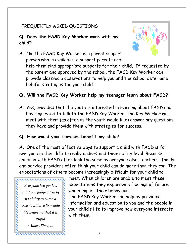#### FREQUENTLY ASKED QUESTIONS

#### **Q. Does the FASD Key Worker work with my child?**



**A**. No, the FASD Key Worker is a parent support person who is available to support parents and help them find appropriate supports for their child. If requested by the parent and approved by the school, the FASD Key Worker can provide classroom observations to help you and the school determine helpful strategies for your child.

#### **Q. Will the FASD Key Worker help my teenager learn about FASD?**

**A.** Yes, provided that the youth is interested in learning about FASD and has requested to talk to the FASD Key Worker. The Key Worker will meet with them (as often as the youth would like) answer any questions they have and provide them with strategies for success.

#### **Q. How would your services benefit my child?**

**A.** One of the most effective ways to support a child with FASD is for everyone in their life to really understand their ability level. Because children with FASD often look the same as everyone else, teachers, family and service providers often think your child can do more than they can. The expectations of others become increasingly difficult for your child to

,,,,,,,,,,,,,,,,,, *Everyone is a genius, but if you judge a fish by its ability to climb a tree, it will live its whole life believing that it is stupid. ~Albert Einstein*

--------------

meet. When children are unable to meet these expectations they experience feelings of failure which impact their behaviour.

The FASD Key Worker can help by providing information and education to you and the people in your child's life to improve how everyone interacts with them.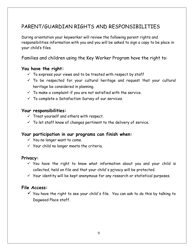### PARENT/GUARDIAN RIGHTS AND RESPONSIBILITIES

During orientation your keyworker will review the following parent rights and responsibilities information with you and you will be asked to sign a copy to be place in your child's files.

Families and children using the Key Worker Program have the right to:

#### **You have the right:**

- $\checkmark$  To express your views and to be treated with respect by staff
- $\checkmark$  To be respected for your cultural heritage and request that your cultural heritage be considered in planning.
- $\checkmark$  To make a complaint if you are not satisfied with the service.
- $\checkmark$  To complete a Satisfaction Survey of our services.

#### **Your responsibilities:**

- $\checkmark$  Treat yourself and others with respect.
- $\checkmark$  To let staff know of changes pertinent to the delivery of service.

#### **Your participation in our programs can finish when:**

- $\checkmark$  You no longer want to come.
- $\checkmark$  Your child no longer meets the criteria.

#### **Privacy:**

- $\checkmark$  You have the right to know what information about you and your child is collected, held on file and that your child's privacy will be protected.
- $Y$  Your identity will be kept anonymous for any research or statistical purposes.

#### **File Access:**

 $\checkmark$  You have the right to see your child's file. You can ask to do this by talking to Dogwood Place staff.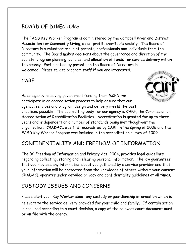### BOARD OF DIRECTORS

The FASD Key Worker Program is administered by the Campbell River and District Association for Community Living, a non-profit, charitable society. The Board of Directors is a volunteer group of parents, professionals and individuals from the community. The Board makes decisions about the governance and direction of the society, program planning, policies, and allocation of funds for service delivery within the agency. Participation by parents on the Board of Directors is welcomed. Please talk to program staff if you are interested.

#### CARF



As an agency receiving government funding from MCFD, we participate in an accreditation process to help ensure that our agency, services and program design and delivery meets the best practices possible. The accrediting body for our agency is CARF, the Commission on Accreditation of Rehabilitation Facilities. Accreditation is granted for up to three years and is dependent on a number of standards being met though-out the organization. CRADACL was first accredited by CARF in the spring of 2006 and the FASD Key Worker Program was included in the accreditation survey of 2009.

### CONFIDENTIALITY AND FREEDOM OF INFORMATION

The BC Freedom of Information and Privacy Act, 2004, provides legal guidelines regarding collecting, storing and releasing personal information. The law guarantees that you may see any information about you gathered by a service provider and that your information will be protected from the knowledge of others without your consent. CRADACL operates under detailed privacy and confidentiality guidelines at all times.

### CUSTODY ISSUES AND CONCERNS

Please alert your Key Worker about any custody or guardianship information which is relevant to the service delivery provided for your child and family. If certain action is required according to a court decision, a copy of the relevant court document must be on file with the agency.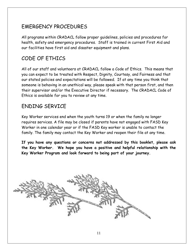### EMERGENCY PROCEDURES

All programs within CRADACL follow proper guidelines, policies and procedures for health, safety and emergency procedures. Staff is trained in current First Aid and our facilities have first aid and disaster equipment and plans.

### CODE OF ETHICS

All of our staff and volunteers at CRADACL follow a Code of Ethics. This means that you can expect to be treated with Respect, Dignity, Courtesy, and Fairness and that our stated policies and expectations will be followed. If at any time you think that someone is behaving in an unethical way, please speak with that person first, and then their supervisor and/or the Executive Director if necessary. The CRADACL Code of Ethics is available for you to review at any time.

### ENDING SERVICE

Key Worker services end when the youth turns 19 or when the family no longer requires services. A file may be closed if parents have not engaged with FASD Key Worker in one calendar year or if the FASD Key worker is unable to contact the family. The family may contact the Key Worker and reopen their file at any time.

**If you have any questions or concerns not addressed by this booklet, please ask the Key Worker. We hope you have a positive and helpful relationship with the Key Worker Program and look forward to being part of your journey.**

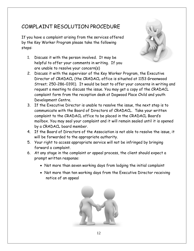### COMPLAINT RESOLUTION PROCEDURE

If you have a complaint arising from the services offered by the Key Worker Program please take the following steps:

1. Discuss it with the person involved. It may be helpful to offer your comments in writing. If you are unable to resolve your concern(s)



- 2. Discuss it with the supervisor of the Key Worker Program, the Executive Director of CRADACL (the CRADACL office is situated at 1153 Greenwood Street; 250-286-0391). It would be best to offer your concerns in writing and request a meeting to discuss the issue. You may get a copy of the CRADACL complaint form from the reception desk at Dogwood Place Child and youth Development Centre.
- 3. If the Executive Director is unable to resolve the issue, the next step is to communicate with the Board of Directors of CRADACL. Take your written complaint to the CRADACL office to be placed in the CRADACL Board's mailbox. You may seal your complaint and it will remain sealed until it is opened by a CRADACL board member.
- 4. If the Board of Directors of the Association is not able to resolve the issue, it will be forwarded to the appropriate authority.
- 5. Your right to access appropriate service will not be infringed by bringing forward a complaint.
- 6. At any stage in the complaint or appeal process, the client should expect a prompt written response:
	- Not more than seven working days from lodging the initial complaint
	- Not more than ten working days from the Executive Director receiving notice of an appeal

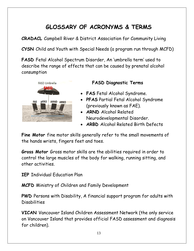### **GLOSSARY OF ACRONYMS & TERMS**

**CRADACL** Campbell River & District Association for Community Living

**CYSN** Child and Youth with Special Needs (a program run through MCFD)

**FASD** Fetal Alcohol Spectrum Disorder, An 'umbrella term' used to describe the range of effects that can be caused by prenatal alcohol consumption



#### **FASD Diagnostic Terms**

- **FAS** Fetal Alcohol Syndrome.
- **PFAS** Partial Fetal Alcohol Syndrome (previously known as FAE).
- **ARND** Alcohol Related Neurodevelopmental Disorder.
- **ARBD** Alcohol Related Birth Defects

**Fine Motor** fine motor skills generally refer to the small movements of the hands wrists, fingers feet and toes.

**Gross Motor** Gross motor skills are the abilities required in order to control the large muscles of the body for walking, running sitting, and other activities.

**IEP** Individual Education Plan

**MCFD** Ministry of Children and Family Development

**PWD** Persons with Disability, A financial support program for adults with **Disabilities** 

**VICAN** Vancouver Island Children Assessment Network (the only service on Vancouver Island that provides official FASD assessment and diagnosis for children).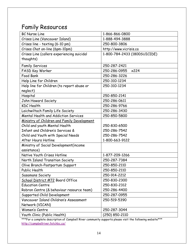### Family Resources

| <b>BC Nurse Line</b>                        | 1-866-866-0800               |
|---------------------------------------------|------------------------------|
| Crises Line (Vancouver Island)              | 1-888-494-3888               |
| Crises line - texting (6-10 pm)             | 250-800-3806                 |
| Crises Chat on-line (6pm-10pm)              | http://www.vicrisis.ca       |
| Crises Line (callers experiencing suicidal  | 1-800-784-2433 (1800SUICIDE) |
| thoughts)                                   |                              |
| <b>Family Services</b>                      | 250-287-2421                 |
| <b>FASD Key Worker</b>                      | 250-286-0955<br>x224         |
| Food Bank                                   | 250-286-3226                 |
| Help Line for Children                      | 250-310-1234                 |
| Help line for Children (to report abuse or  | 250-310-1234                 |
| neglect)                                    |                              |
| Hospital                                    | 250-850-2141                 |
| John Howard Society                         | 250-286-0611                 |
| <b>KDC</b> Health                           | 250-286-9766                 |
| Laichwiltach Family Life Society            | 250-286-3430                 |
| <b>Mental Health and Addiction Services</b> | 250-850-5800                 |
| Ministry of Children and Family Development |                              |
| Child and youth Mental Health               | 250-830-6500                 |
| Infant and Children's Services &            | 250-286-7542                 |
| Child and Youth with Special Needs          | 250-286-7542                 |
| After Hours Hotline                         | 1-800-663-9122               |
| Ministry of Social Development(income       |                              |
| assistance)                                 |                              |
| Native Youth Crises Hotline                 | 1-877-209-1266               |
| North Island Transition Society             | 250-287-7384                 |
| Olive Branch-Postpartum Support             | 250-850-2110                 |
| Public Health                               | 250-850-2110                 |
| Sasamans Society                            | 250-914-2212                 |
| School District #72 Board Office            | 250-830-2300                 |
| <b>Education Centre</b>                     | 250-830-2312                 |
| Robron Centre (& behaviour resource team)   | 250-286-4400                 |
| Supported Child Development                 | 250-287-0955                 |
| Vancouver Island Children's Assessment      | 250-519-5390                 |
| Network (VICAN)                             |                              |
| Women's Centre                              | 250-287-3044                 |
| Youth Clinic (Public Health)                | (250) 850-2110               |

\*\*\*For a complete description of Campbell River community supports please visit the following website \*\*\* <http://campbellriver.fetchbc.ca/>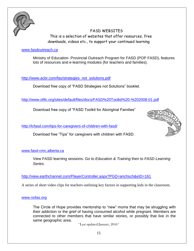

FASD WEBSITES This is a selection of websites that offer resources, free downloads, videos etc., to support your continued learning

#### [www.fasdoutreach.ca](http://www.fasdoutreach.ca/)

Ministry of Education- Provincial Outreach Program for FASD (POP FASD), features lots of resources and e-learning modules (for teachers and families).

[http://www.acbr.com/fas/strategies\\_not\\_solutions.pdf](http://www.acbr.com/fas/strategies_not_solutions.pdf)

Download free copy of "FASD Strategies not Solutions" booklet.

<http://www.ofifc.org/sites/default/files/docs/FASD%20Toolkit%20-%202008-01.pdf>

Download free copy of "FASD Toolkit for Aboriginal Families"

<http://lcfasd.com/tips-for-caregivers-of-children-with-fasd/>

Download free "Tips" for caregivers with children with FASD.



#### [www.fasd-cmc.alberta.ca](http://www.fasd-cmc.alberta.ca/)

View FASD learning sessions. Go to *Education & Training* then to *FASD Learning Series.*

<http://view.earthchannel.com/PlayerController.aspx?PGD=anchsch&eID=161>

A series of short video clips for teachers outlining key factors in supporting kids in the classroom.

#### [www.nofas.org](http://www.nofas.org/)

The Circle of Hope provides mentorship to "new" moms that may be struggling with their addiction or the grief of having consumed alcohol while pregnant. Members are connected to other members that have similar stories, or possibly that live in the same geographic area.

\*Last updated January, 2016\*